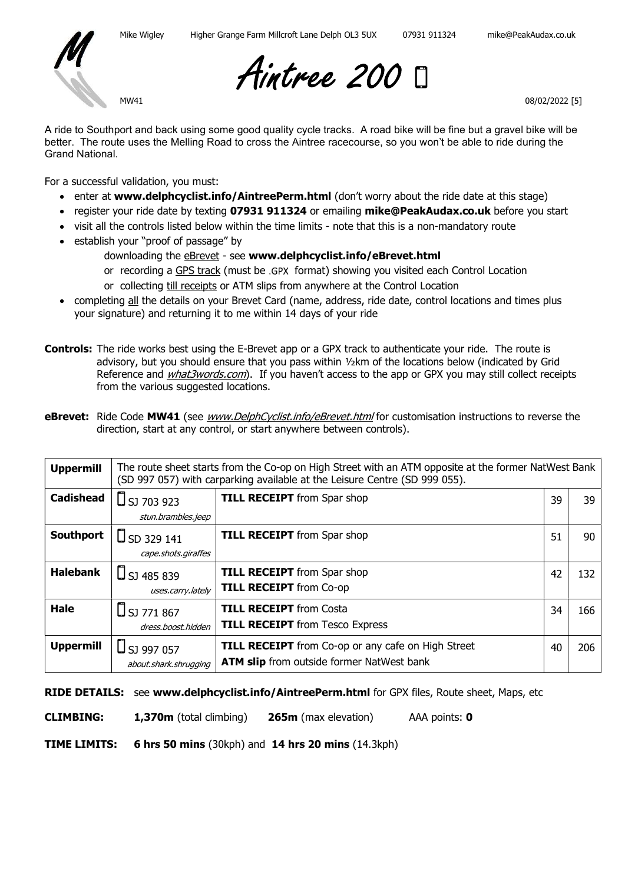

MW41

Aintree 200

08/02/2022 [5]

A ride to Southport and back using some good quality cycle tracks. A road bike will be fine but a gravel bike will be better. The route uses the Melling Road to cross the Aintree racecourse, so you won't be able to ride during the Grand National.

For a successful validation, you must:

- enter at www.delphcyclist.info/AintreePerm.html (don't worry about the ride date at this stage)
- register your ride date by texting 07931 911324 or emailing mike@PeakAudax.co.uk before you start
- visit all the controls listed below within the time limits note that this is a non-mandatory route
- establish your "proof of passage" by
	- downloading the **eBrevet** see www.delphcyclist.info/eBrevet.html
		- or recording a GPS track (must be .GPX format) showing you visited each Control Location
		- or collecting till receipts or ATM slips from anywhere at the Control Location
- completing all the details on your Brevet Card (name, address, ride date, control locations and times plus your signature) and returning it to me within 14 days of your ride
- **Controls:** The ride works best using the E-Brevet app or a GPX track to authenticate your ride. The route is advisory, but you should ensure that you pass within ½km of the locations below (indicated by Grid Reference and *what3words.com*). If you haven't access to the app or GPX you may still collect receipts from the various suggested locations.
- eBrevet: Ride Code MW41 (see www.DelphCyclist.info/eBrevet.html for customisation instructions to reverse the direction, start at any control, or start anywhere between controls).

| <b>Uppermill</b> | The route sheet starts from the Co-op on High Street with an ATM opposite at the former NatWest Bank<br>(SD 997 057) with carparking available at the Leisure Centre (SD 999 055). |                                                           |    |     |
|------------------|------------------------------------------------------------------------------------------------------------------------------------------------------------------------------------|-----------------------------------------------------------|----|-----|
| <b>Cadishead</b> | $\Box$ SJ 703 923                                                                                                                                                                  | <b>TILL RECEIPT</b> from Spar shop                        | 39 | 39  |
|                  | stun.brambles.jeep                                                                                                                                                                 |                                                           |    |     |
| Southport        | $\Box$ SD 329 141                                                                                                                                                                  | <b>TILL RECEIPT</b> from Spar shop                        | 51 | 90  |
|                  | cape.shots.giraffes                                                                                                                                                                |                                                           |    |     |
| <b>Halebank</b>  | $\Box$ SJ 485 839                                                                                                                                                                  | <b>TILL RECEIPT</b> from Spar shop                        | 42 | 132 |
|                  | uses.carry.lately                                                                                                                                                                  | <b>TILL RECEIPT</b> from Co-op                            |    |     |
| <b>Hale</b>      | $\Box$ SJ 771 867                                                                                                                                                                  | <b>TILL RECEIPT</b> from Costa                            | 34 | 166 |
|                  | dress.boost.hidden                                                                                                                                                                 | <b>TILL RECEIPT</b> from Tesco Express                    |    |     |
| <b>Uppermill</b> | $\Box$ SJ 997 057                                                                                                                                                                  | <b>TILL RECEIPT</b> from Co-op or any cafe on High Street | 40 | 206 |
|                  | about.shark.shrugging                                                                                                                                                              | <b>ATM slip</b> from outside former NatWest bank          |    |     |

RIDE DETAILS: see www.delphcyclist.info/AintreePerm.html for GPX files, Route sheet, Maps, etc

CLIMBING: 1,370m (total climbing) 265m (max elevation) AAA points: 0

TIME LIMITS: 6 hrs 50 mins (30kph) and 14 hrs 20 mins (14.3kph)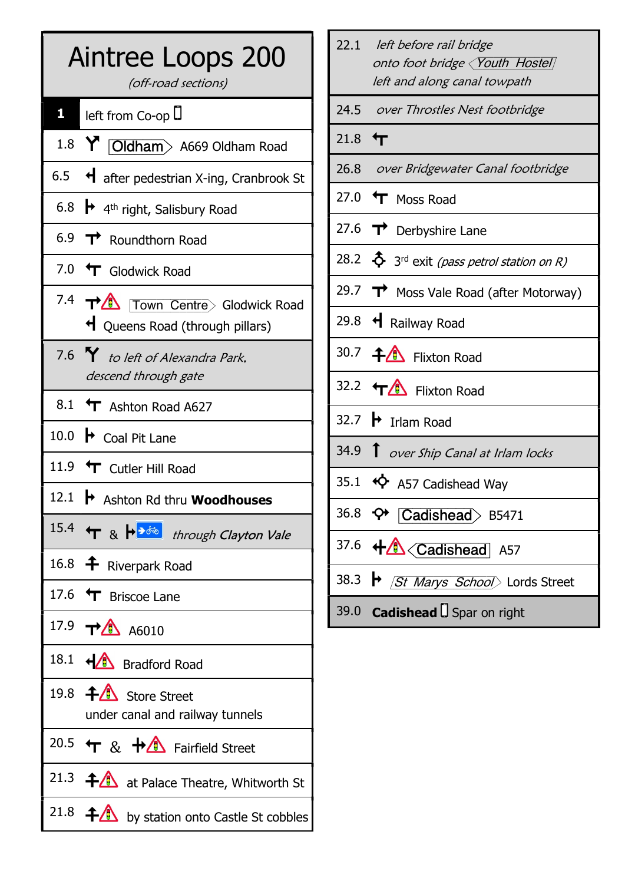| Aintree Loops 200<br>(off-road sections)                                     |  |
|------------------------------------------------------------------------------|--|
| $\mathbf{1}$ left from Co-op $\mathsf{U}$                                    |  |
| 1.8 Y <b>Oldham</b> > A669 Oldham Road                                       |  |
| 6.5 $\blacktriangleleft$ after pedestrian X-ing, Cranbrook St                |  |
| 6.8 $\rightarrow$ 4 <sup>th</sup> right, Salisbury Road                      |  |
| 6.9 $\rightarrow$ Roundthorn Road                                            |  |
| 7.0 T Glodwick Road                                                          |  |
| 7.4 TA Town Centre> Glodwick Road<br>$\bigcup$ Queens Road (through pillars) |  |
| 7.6 Y to left of Alexandra Park,<br>descend through gate                     |  |
| 8.1 T Ashton Road A627                                                       |  |
| 10.0 $\rightarrow$ Coal Pit Lane                                             |  |
| 11.9 T Cutler Hill Road                                                      |  |
| 12.1<br>Ashton Rd thru Woodhouses                                            |  |
| 15.4 T & $\overline{P}$ through Clayton Vale                                 |  |
| 16.8 <b>+</b> Riverpark Road                                                 |  |
| 17.6 T Briscoe Lane                                                          |  |
| 17.9 $\mathbf{T}$ <sup><math>\mathbf{A}</math></sup> A6010                   |  |
| 18.1 + <sup>1</sup> Bradford Road                                            |  |
| 19.8 + Store Street<br>under canal and railway tunnels                       |  |
| 20.5 $\leftarrow$ & $\leftarrow$ Fairfield Street                            |  |
| 21.3 $\bigoplus$ at Palace Theatre, Whitworth St                             |  |
| 21.8 $\leftarrow$ by station onto Castle St cobbles                          |  |

|             | 22.1 left before rail bridge<br>onto foot bridge <i>(Youth Hostel)</i><br>left and along canal towpath                                                                                                                                                                                                                                                                                                                                                                                   |
|-------------|------------------------------------------------------------------------------------------------------------------------------------------------------------------------------------------------------------------------------------------------------------------------------------------------------------------------------------------------------------------------------------------------------------------------------------------------------------------------------------------|
|             | 24.5 over Throstles Nest footbridge                                                                                                                                                                                                                                                                                                                                                                                                                                                      |
| 21.8 $\tau$ |                                                                                                                                                                                                                                                                                                                                                                                                                                                                                          |
|             | 26.8 over Bridgewater Canal footbridge                                                                                                                                                                                                                                                                                                                                                                                                                                                   |
|             | 27.0 T Moss Road                                                                                                                                                                                                                                                                                                                                                                                                                                                                         |
|             | 27.6 $\rightarrow$ Derbyshire Lane                                                                                                                                                                                                                                                                                                                                                                                                                                                       |
|             | 28.2 $\hat{\Phi}$ 3 <sup>rd</sup> exit <i>(pass petrol station on R)</i>                                                                                                                                                                                                                                                                                                                                                                                                                 |
|             | 29.7 $\rightarrow$ Moss Vale Road (after Motorway)                                                                                                                                                                                                                                                                                                                                                                                                                                       |
|             | 29.8 + Railway Road                                                                                                                                                                                                                                                                                                                                                                                                                                                                      |
|             | 30.7 <b>f</b> Flixton Road                                                                                                                                                                                                                                                                                                                                                                                                                                                               |
|             | 32.2 TA Flixton Road                                                                                                                                                                                                                                                                                                                                                                                                                                                                     |
|             | 32.7 $\rightarrow$ Irlam Road                                                                                                                                                                                                                                                                                                                                                                                                                                                            |
|             | 34.9 T over Ship Canal at Irlam locks                                                                                                                                                                                                                                                                                                                                                                                                                                                    |
|             | 35.1 $\blacklozenge$ A57 Cadishead Way                                                                                                                                                                                                                                                                                                                                                                                                                                                   |
|             | 36.8 $\leftrightarrow$ Cadishead > B5471                                                                                                                                                                                                                                                                                                                                                                                                                                                 |
|             | 37.6 $\leftarrow$ $\leftarrow$ $\leftarrow$ $\leftarrow$ $\leftarrow$ $\leftarrow$ $\leftarrow$ $\leftarrow$ $\leftarrow$ $\leftarrow$ $\leftarrow$ $\leftarrow$ $\leftarrow$ $\leftarrow$ $\leftarrow$ $\leftarrow$ $\leftarrow$ $\leftarrow$ $\leftarrow$ $\leftarrow$ $\leftarrow$ $\leftarrow$ $\leftarrow$ $\leftarrow$ $\leftarrow$ $\leftarrow$ $\leftarrow$ $\leftarrow$ $\leftarrow$ $\leftarrow$ $\leftarrow$ $\leftarrow$ $\leftarrow$ $\leftarrow$ $\leftarrow$ $\leftarrow$ |
|             | 38.3 → <i>St Marys School</i> > Lords Street                                                                                                                                                                                                                                                                                                                                                                                                                                             |
|             | 39.0 <b>Cadishead</b> Spar on right                                                                                                                                                                                                                                                                                                                                                                                                                                                      |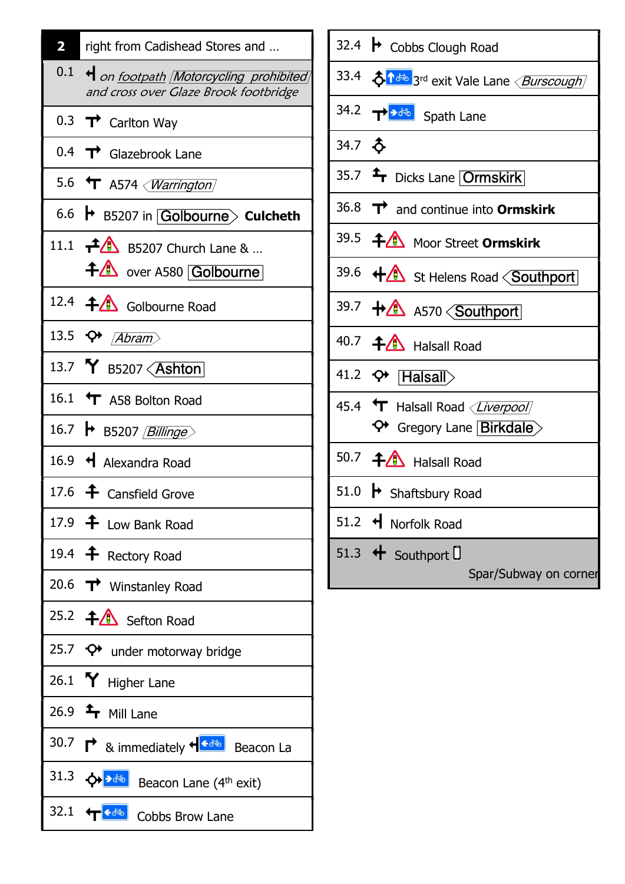| 2 | right from Cadishead Stores and                                                                   |
|---|---------------------------------------------------------------------------------------------------|
|   | 0.1 + on footpath Motorcycling prohibited<br>and cross over Glaze Brook footbridge                |
|   | 0.3 $\rightarrow$ Carlton Way                                                                     |
|   | 0.4 $\rightarrow$ Glazebrook Lane                                                                 |
|   | 5.6 $\mathbf{\hat{T}}$ A574 $\langle \textit{Warning}$                                            |
|   | 6.6 + B5207 in Golbourne> Culcheth                                                                |
|   | 11.1 $\uparrow$ B5207 Church Lane &<br>+4 over A580 Golbourne                                     |
|   | 12.4 <b>f</b> Golbourne Road                                                                      |
|   | 13.5 $\leftrightarrow$ <i>Abram</i>                                                               |
|   | 13.7 Y B5207 < Ashton                                                                             |
|   | 16.1 T A58 Bolton Road                                                                            |
|   | 16.7 → B5207 <i>Billinge</i>                                                                      |
|   | 16.9 + Alexandra Road                                                                             |
|   | 17.6 $\triangle$ Cansfield Grove                                                                  |
|   | 17.9 $\triangleq$ Low Bank Road                                                                   |
|   | 19.4 $\triangleq$ Rectory Road                                                                    |
|   | 20.6 $\rightarrow$ Winstanley Road                                                                |
|   | 25.2 + Sefton Road                                                                                |
|   | 25.7 $\leftrightarrow$ under motorway bridge                                                      |
|   | 26.1 $\mathbf{\hat{Y}}$ Higher Lane                                                               |
|   | 26.9 $\triangleq$ Mill Lane                                                                       |
|   | 30.7 $\rightarrow \bullet$ & immediately $\leftarrow \bullet \bullet$ Beacon La                   |
|   | 31.3 $\left\langle \right\rangle$ $\left\langle \right\rangle$ Beacon Lane (4 <sup>th</sup> exit) |
|   | 32.1 + cobbs Brow Lane                                                                            |

| 32.4 → Cobbs Clough Road                                                                   |
|--------------------------------------------------------------------------------------------|
| 33.4 $\delta$ <sup>16</sup> <sup>®</sup> 3 <sup>rd</sup> exit Vale Lane < <i>Burscough</i> |
| 34.2 $\rightarrow \rightarrow \rightarrow \rightarrow \rightarrow$ Spath Lane              |
| 34.7 \$                                                                                    |
| 35.7 <sup>1</sup> Dicks Lane <b>Ormskirk</b>                                               |
| 36.8 $\rightarrow$ and continue into Ormskirk                                              |
| 39.5 <b>4 Moor Street Ormskirk</b>                                                         |
| 39.6 + St Helens Road <southport< td=""></southport<>                                      |
| 39.7 + 1 AS70 <southport< td=""></southport<>                                              |
| 40.7 <b>44</b> Halsall Road                                                                |
| 41.2 $\leftrightarrow$ [Halsall)                                                           |
| 45.4 T Halsall Road < <i>Liverpool</i><br>↔ Gregory Lane Birkdale>                         |
| 50.7 $\bigoplus$ Halsall Road                                                              |
| 51.0 $\rightarrow$ Shaftsbury Road                                                         |
| 51.2 + Norfolk Road                                                                        |
| 51.3 + Southport U<br>Spar/Subway on corner                                                |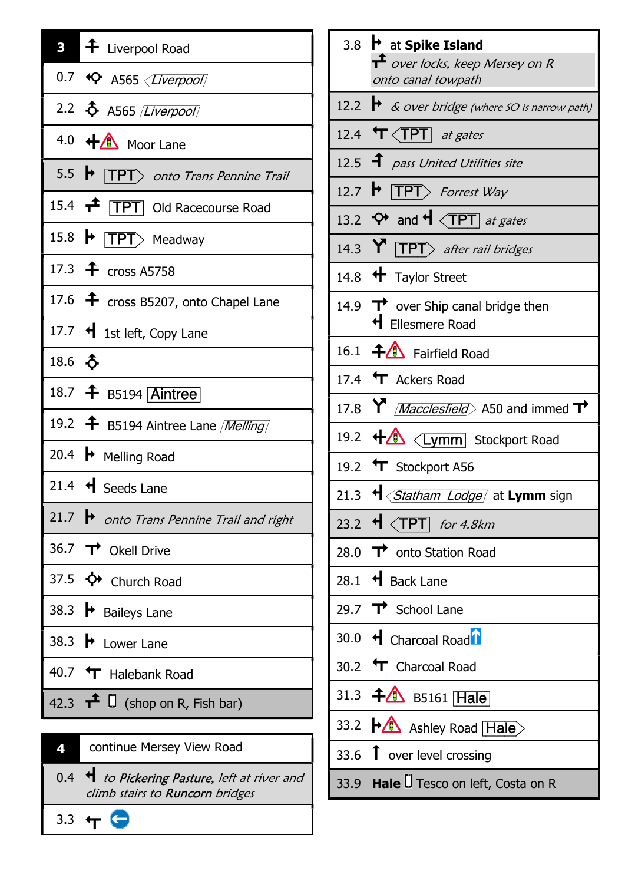| $\overline{\mathbf{3}}$ | $\left  \right. \hat{+} \right.$ Liverpool Road                       |
|-------------------------|-----------------------------------------------------------------------|
|                         | 0.7 + Q A565 < <i>Liverpool</i>                                       |
|                         | 2.2 & A565 <i>[Liverpool]</i>                                         |
|                         | 4.0 + 1 Moor Lane                                                     |
|                         | 5.5 $\blacktriangleright$ $\ket{\text{TPT}}$ onto Trans Pennine Trail |
|                         | 15.4 <b>TPT</b> Old Racecourse Road                                   |
|                         | 15.8 $\blacktriangleright$ <b>TPT</b> Meadway                         |
|                         | 17.3 $\triangle$ cross A5758                                          |
|                         | 17.6 $\triangleq$ cross B5207, onto Chapel Lane                       |
|                         | 17.7 $\bigcup$ 1st left, Copy Lane                                    |
| 18.6 $\delta$           |                                                                       |
|                         | 18.7 + B5194 Aintree                                                  |
|                         | 19.2 <b>f</b> B5194 Aintree Lane <i>[Melling]</i>                     |
|                         | 20.4 $\rightarrow$ Melling Road                                       |
|                         | 21.4 $\triangleleft$ Seeds Lane                                       |
|                         | 21.7 → onto Trans Pennine Trail and right                             |
|                         | 36.7 T Okell Drive                                                    |
|                         | 37.5 ↔ Church Road                                                    |
|                         | 38.3 $\rightarrow$ Baileys Lane                                       |
|                         | 38.3 $\blacktriangleright$ Lower Lane                                 |
|                         | 40.7 T Halebank Road                                                  |
|                         | 42.3 $\mathbf{\hat{T}}$ $\Box$ (shop on R, Fish bar)                  |

| zı | continue Mersey View Road                                                        |
|----|----------------------------------------------------------------------------------|
|    | 0.4 + to Pickering Pasture, left at river and<br>climb stairs to Runcorn bridges |
|    |                                                                                  |

3.3  $+$ 

3.8  $\,$  at Spike Island  $\mathbf{\hat{+}}$  over locks, keep Mersey on R onto canal towpath 12.2  $\rightarrow$  & over bridge (where SO is narrow path) 12.4  $\mathbf{\hat{T}}$  <TPT] at gates 12.5  $\hat{ }$  pass United Utilities site 12.7  $\blacktriangleright$  **[TPT** $>$  Forrest Way 13.2  $\leftrightarrow$  and  $\overline{H}$   $\overline{CPT}$  at gates 14.3  $Y$  TPT after rail bridges 14.8  $\bigoplus$  Taylor Street 14.9  $\rightarrow$  over Ship canal bridge then l Ellesmere Road 16.1  $\bigoplus$  Fairfield Road 17.4  $\mathbf{\hat{T}}$  Ackers Road 17.8  $\mathsf{Y}$  *Macclesfield* A50 and immed  $\mathsf{T}$ 19.2 w <Lymm] Stockport Road 19.2 T Stockport A56 21.3  $\mathbf{H} \langle$  Statham Lodge) at Lymm sign 23.2  $\triangleleft$   $\triangleleft$  TPT  $\mid$  for 4.8km 28.0  $\rightarrow$  onto Station Road 28.1  $\triangleleft$  Back Lane 29.7  $\vec{T}$  School Lane 30.0  $\triangleleft$  Charcoal Road $\Omega$ 30.2  $\text{Tr}$  Charcoal Road 31.3  $\bigoplus$  B5161 Hale 33.2  $\blacktriangleright$  Ashley Road  $\boxed{\text{Hale}}$ 33.6  $\uparrow$  over level crossing 33.9 Hale U Tesco on left, Costa on R